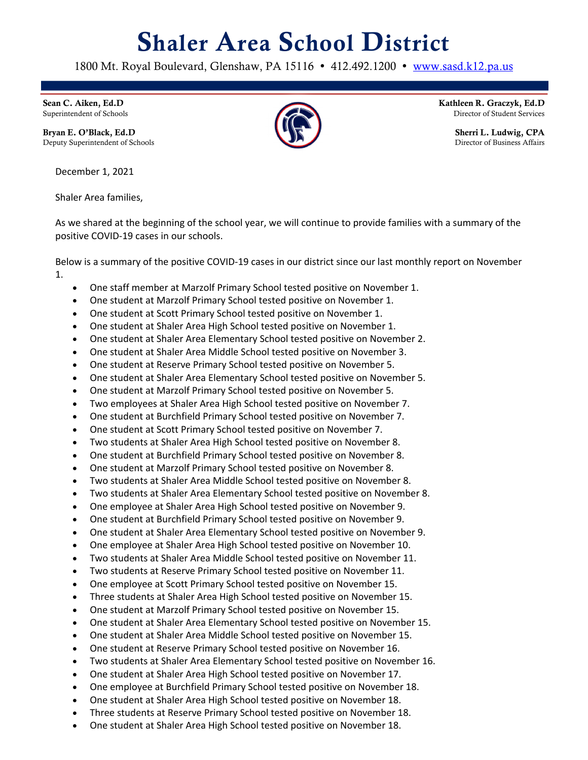## Shaler Area School District

1800 Mt. Royal Boulevard, Glenshaw, PA 15116 • 412.492.1200 • www.sasd.k12.pa.us

Sean C. Aiken, Ed.D Superintendent of Schools

Bryan E. O'Black, Ed.D Deputy Superintendent of Schools

December 1, 2021

Shaler Area families,

As we shared at the beginning of the school year, we will continue to provide families with a summary of the positive COVID-19 cases in our schools.

Below is a summary of the positive COVID-19 cases in our district since our last monthly report on November 1.

- One staff member at Marzolf Primary School tested positive on November 1.
- One student at Marzolf Primary School tested positive on November 1.
- One student at Scott Primary School tested positive on November 1.
- One student at Shaler Area High School tested positive on November 1.
- One student at Shaler Area Elementary School tested positive on November 2.
- One student at Shaler Area Middle School tested positive on November 3.
- One student at Reserve Primary School tested positive on November 5.
- One student at Shaler Area Elementary School tested positive on November 5.
- One student at Marzolf Primary School tested positive on November 5.
- Two employees at Shaler Area High School tested positive on November 7.
- One student at Burchfield Primary School tested positive on November 7.
- One student at Scott Primary School tested positive on November 7.
- Two students at Shaler Area High School tested positive on November 8.
- One student at Burchfield Primary School tested positive on November 8.
- One student at Marzolf Primary School tested positive on November 8.
- Two students at Shaler Area Middle School tested positive on November 8.
- Two students at Shaler Area Elementary School tested positive on November 8.
- One employee at Shaler Area High School tested positive on November 9.
- One student at Burchfield Primary School tested positive on November 9.
- One student at Shaler Area Elementary School tested positive on November 9.
- One employee at Shaler Area High School tested positive on November 10.
- Two students at Shaler Area Middle School tested positive on November 11.
- Two students at Reserve Primary School tested positive on November 11.
- One employee at Scott Primary School tested positive on November 15.
- Three students at Shaler Area High School tested positive on November 15.
- One student at Marzolf Primary School tested positive on November 15.
- One student at Shaler Area Elementary School tested positive on November 15.
- One student at Shaler Area Middle School tested positive on November 15.
- One student at Reserve Primary School tested positive on November 16.
- Two students at Shaler Area Elementary School tested positive on November 16.
- One student at Shaler Area High School tested positive on November 17.
- One employee at Burchfield Primary School tested positive on November 18.
- One student at Shaler Area High School tested positive on November 18.
- Three students at Reserve Primary School tested positive on November 18.
- One student at Shaler Area High School tested positive on November 18.



Kathleen R. Graczyk, Ed.D Director of Student Services

> Sherri L. Ludwig, CPA Director of Business Affairs